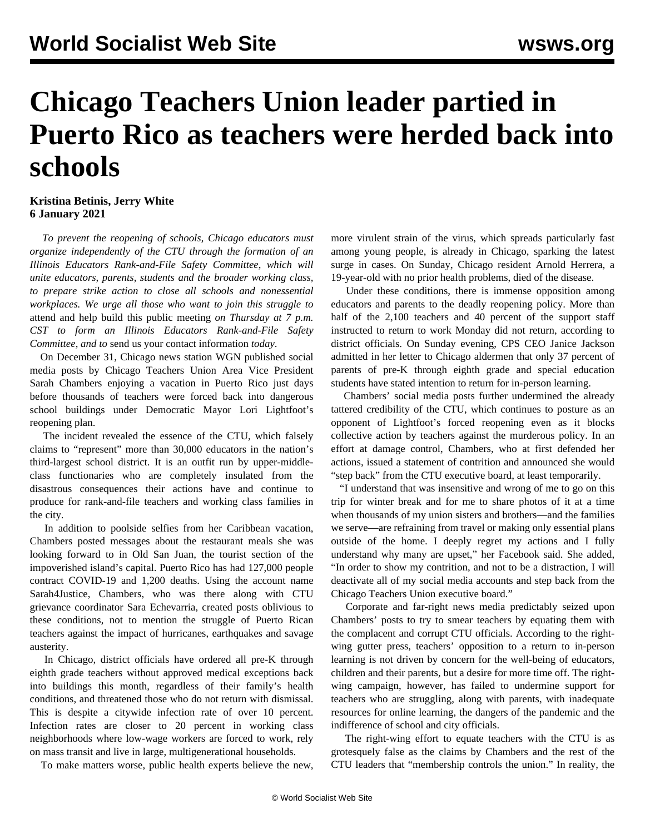## **Chicago Teachers Union leader partied in Puerto Rico as teachers were herded back into schools**

## **Kristina Betinis, Jerry White 6 January 2021**

 *To prevent the reopening of schools, Chicago educators must organize independently of the CTU through the formation of an Illinois Educators Rank-and-File Safety Committee, which will unite educators, parents, students and the broader working class, to prepare strike action to close all schools and nonessential workplaces. We urge all those who want to join this struggle to* [attend and help build this public meeting](https://register.gotowebinar.com/register/2476006039840552208) *on Thursday at 7 p.m. CST to form an Illinois Educators Rank-and-File Safety Committee, and to* [send us your contact information](/en/special/pages/educators-rank-and-file-committee.html) *today*.

 On December 31, Chicago news station WGN published social media posts by Chicago Teachers Union Area Vice President Sarah Chambers enjoying a vacation in Puerto Rico just days before thousands of teachers were forced back into dangerous school buildings under Democratic Mayor Lori Lightfoot's reopening plan.

 The incident revealed the essence of the CTU, which falsely claims to "represent" more than 30,000 educators in the nation's third-largest school district. It is an outfit run by upper-middleclass functionaries who are completely insulated from the disastrous consequences their actions have and continue to produce for rank-and-file teachers and working class families in the city.

 In addition to poolside selfies from her Caribbean vacation, Chambers posted messages about the restaurant meals she was looking forward to in Old San Juan, the tourist section of the impoverished island's capital. Puerto Rico has had 127,000 people contract COVID-19 and 1,200 deaths. Using the account name Sarah4Justice, Chambers, who was there along with CTU grievance coordinator Sara Echevarria, created posts oblivious to these conditions, not to mention the struggle of Puerto Rican teachers against the impact of hurricanes, earthquakes and savage austerity.

 In Chicago, district officials have ordered all pre-K through eighth grade teachers without approved medical exceptions back into buildings this month, [regardless of their family's health](/en/articles/2020/12/31/chic-d31.html) [conditions](/en/articles/2020/12/31/chic-d31.html), and threatened those who do not return with dismissal. This is despite a citywide infection rate of over 10 percent. Infection rates are closer to 20 percent in working class neighborhoods where low-wage workers are forced to work, rely on mass transit and live in large, multigenerational households.

To make matters worse, public health experts believe the new,

more virulent strain of the virus, which spreads particularly fast among young people, is already in Chicago, sparking the latest surge in cases. On Sunday, Chicago resident Arnold Herrera, a 19-year-old with no prior health problems, died of the disease.

 Under these conditions, there is immense opposition among educators and parents to the deadly reopening policy. More than half of the 2,100 teachers and 40 percent of the support staff instructed to return to work Monday did not return, according to district officials. On Sunday evening, CPS CEO Janice Jackson admitted in her letter to Chicago aldermen that only 37 percent of parents of pre-K through eighth grade and special education students have stated intention to return for in-person learning.

 Chambers' social media posts further undermined the already tattered credibility of the CTU, which continues to posture as an opponent of Lightfoot's forced reopening even as it blocks collective action by teachers against the murderous policy. In an effort at damage control, Chambers, who at first defended her actions, issued a statement of contrition and announced she would "step back" from the CTU executive board, at least temporarily.

 "I understand that was insensitive and wrong of me to go on this trip for winter break and for me to share photos of it at a time when thousands of my union sisters and brothers—and the families we serve—are refraining from travel or making only essential plans outside of the home. I deeply regret my actions and I fully understand why many are upset," her Facebook said. She added, "In order to show my contrition, and not to be a distraction, I will deactivate all of my social media accounts and step back from the Chicago Teachers Union executive board."

 Corporate and far-right news media predictably seized upon Chambers' posts to try to smear teachers by equating them with the complacent and corrupt CTU officials. According to the rightwing gutter press, teachers' opposition to a return to in-person learning is not driven by concern for the well-being of educators, children and their parents, but a desire for more time off. The rightwing campaign, however, has failed to undermine support for teachers who are struggling, along with parents, with inadequate resources for online learning, the dangers of the pandemic and the indifference of school and city officials.

 The right-wing effort to equate teachers with the CTU is as grotesquely false as the claims by Chambers and the rest of the CTU leaders that "membership controls the union." In reality, the